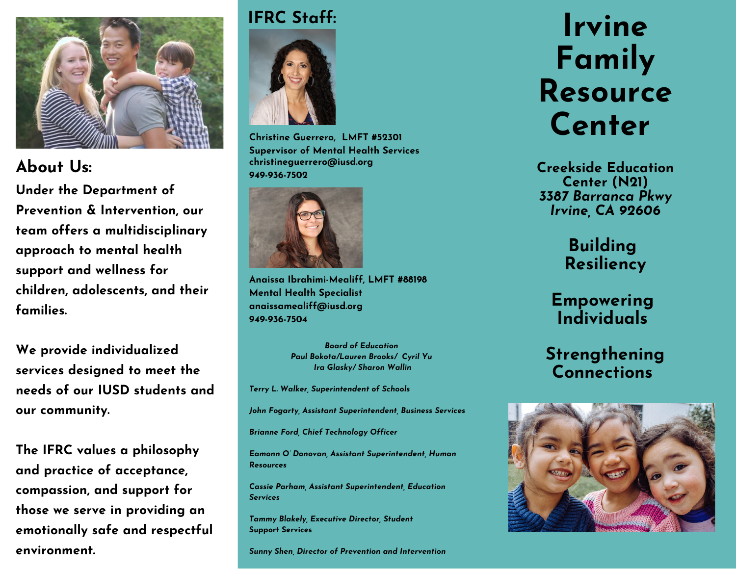

# **949-936-7502 About Us:**

**Under the Department of Prevention & Intervention, our team offers a multidisciplinary approach to mental health support and wellness for children, adolescents, and their families.**

**We provide individualized services designed to meet the needs of our IUSD students and our community.**

**The IFRC values a philosophy and practice of acceptance, compassion, and support for those we serve in providing an emotionally safe and respectful environment.**

#### **IFRC Staff:**



**Christine Guerrero, LMFT #52301 Supervisor of Mental Health Services christineguerrero@iusd.org**



**Anaissa Ibrahimi-Mealiff, LMFT #88198 Mental Health Specialist anaissamealiff@iusd.org 949-936-7504**

> *Board of Education Paul Bokota/Lauren Brooks/ Cyril Yu Ira Glasky/ Sharon Wallin*

*Terry L. Walker, Superintendent of Schools*

*John Fogarty, Assistant Superintendent, Business Services*

*Brianne Ford, Chief Technology Officer*

*Eamonn O' Donovan, Assistant Superintendent, Human Resources*

*Cassie Parham, Assistant Superintendent, Education Services*

*Tammy Blakely, Executive Director, Student* **Support Services**

*Sunny Shen, Director of Prevention and Intervention*

# **Irvine Family Resource Center**

**Creekside Education Center (N21)** *3387 Barranca Pkwy Irvine, CA 92606*

> **Building Resiliency**

## **Empowering Individuals**

# **Strengthening Connections**